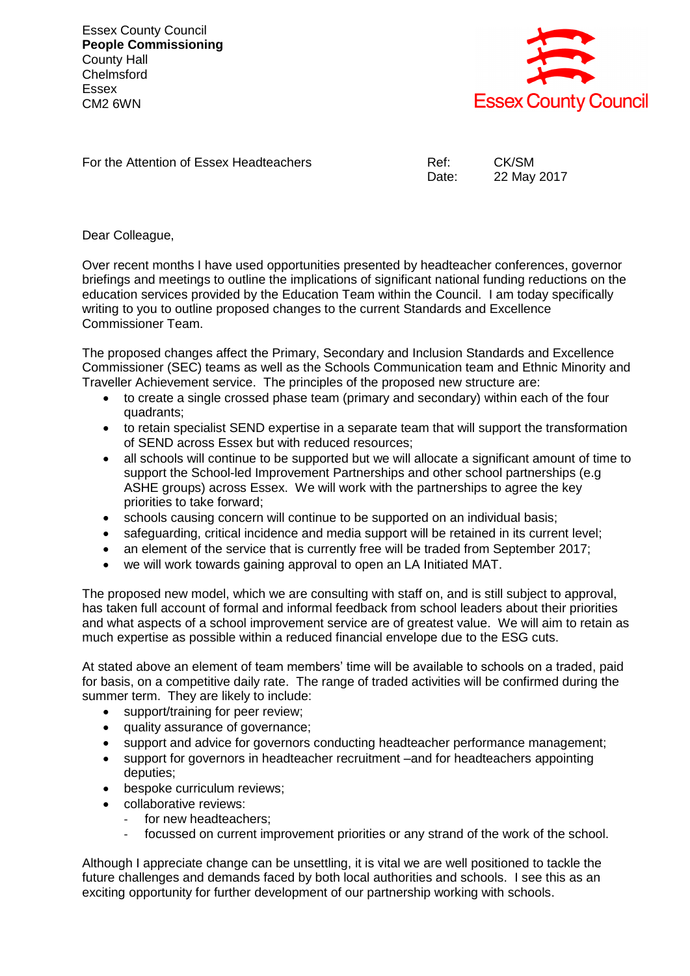Essex County Council **People Commissioning** County Hall **Chelmsford** Essex CM2 6WN



For the Attention of Essex Headteachers The Ref: CK/SM

Date: 22 May 2017

Dear Colleague,

Over recent months I have used opportunities presented by headteacher conferences, governor briefings and meetings to outline the implications of significant national funding reductions on the education services provided by the Education Team within the Council. I am today specifically writing to you to outline proposed changes to the current Standards and Excellence Commissioner Team.

The proposed changes affect the Primary, Secondary and Inclusion Standards and Excellence Commissioner (SEC) teams as well as the Schools Communication team and Ethnic Minority and Traveller Achievement service. The principles of the proposed new structure are:

- to create a single crossed phase team (primary and secondary) within each of the four quadrants;
- to retain specialist SEND expertise in a separate team that will support the transformation of SEND across Essex but with reduced resources;
- all schools will continue to be supported but we will allocate a significant amount of time to support the School-led Improvement Partnerships and other school partnerships (e.g ASHE groups) across Essex. We will work with the partnerships to agree the key priorities to take forward;
- schools causing concern will continue to be supported on an individual basis;
- safeguarding, critical incidence and media support will be retained in its current level;
- an element of the service that is currently free will be traded from September 2017;
- we will work towards gaining approval to open an LA Initiated MAT.

The proposed new model, which we are consulting with staff on, and is still subject to approval, has taken full account of formal and informal feedback from school leaders about their priorities and what aspects of a school improvement service are of greatest value. We will aim to retain as much expertise as possible within a reduced financial envelope due to the ESG cuts.

At stated above an element of team members' time will be available to schools on a traded, paid for basis, on a competitive daily rate. The range of traded activities will be confirmed during the summer term. They are likely to include:

- support/training for peer review;
- quality assurance of governance;
- support and advice for governors conducting headteacher performance management;
- support for governors in headteacher recruitment –and for headteachers appointing deputies;
- bespoke curriculum reviews;
- collaborative reviews:
	- for new headteachers:
	- focussed on current improvement priorities or any strand of the work of the school.

Although I appreciate change can be unsettling, it is vital we are well positioned to tackle the future challenges and demands faced by both local authorities and schools. I see this as an exciting opportunity for further development of our partnership working with schools.